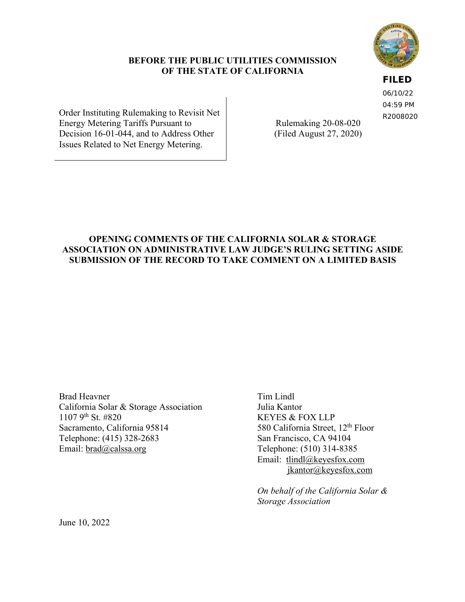## **BEFORE THE PUBLIC UTILITIES COMMISSION OF THE STATE OF CALIFORNIA**

**FILED**

06/10/22 04:59 PM R2008020

Order Instituting Rulemaking to Revisit Net Energy Metering Tariffs Pursuant to Decision 16-01-044, and to Address Other Issues Related to Net Energy Metering.

Rulemaking 20-08-020 (Filed August 27, 2020)

## **OPENING COMMENTS OF THE CALIFORNIA SOLAR & STORAGE ASSOCIATION ON ADMINISTRATIVE LAW JUDGE'S RULING SETTING ASIDE SUBMISSION OF THE RECORD TO TAKE COMMENT ON A LIMITED BASIS**

Brad Heavner California Solar & Storage Association 1107 9th St. #820 Sacramento, California 95814 Telephone: (415) 328-2683 Email: brad@calssa.org

Tim Lindl Julia Kantor KEYES & FOX LLP 580 California Street, 12<sup>th</sup> Floor San Francisco, CA 94104 Telephone: (510) 314-8385 Email: tlindl@keyesfox.com jkantor@keyesfox.com

*On behalf of the California Solar & Storage Association*

June 10, 2022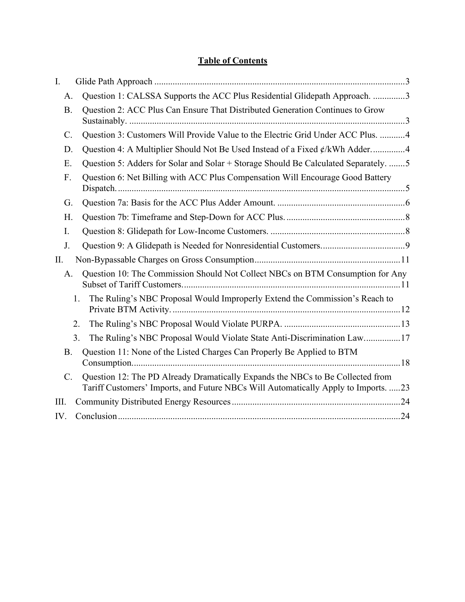# **Table of Contents**

| I.              |                                                                                                                                                                      |
|-----------------|----------------------------------------------------------------------------------------------------------------------------------------------------------------------|
| Α.              | Question 1: CALSSA Supports the ACC Plus Residential Glidepath Approach. 3                                                                                           |
| <b>B.</b>       | Question 2: ACC Plus Can Ensure That Distributed Generation Continues to Grow                                                                                        |
| $\mathcal{C}$ . | Question 3: Customers Will Provide Value to the Electric Grid Under ACC Plus. 4                                                                                      |
| D.              | Question 4: A Multiplier Should Not Be Used Instead of a Fixed ¢/kWh Adder4                                                                                          |
| E.              | Question 5: Adders for Solar and Solar + Storage Should Be Calculated Separately. 5                                                                                  |
| F.              | Question 6: Net Billing with ACC Plus Compensation Will Encourage Good Battery                                                                                       |
| G.              |                                                                                                                                                                      |
| Η.              |                                                                                                                                                                      |
| I.              |                                                                                                                                                                      |
| J.              |                                                                                                                                                                      |
| II.             |                                                                                                                                                                      |
| A.              | Question 10: The Commission Should Not Collect NBCs on BTM Consumption for Any                                                                                       |
|                 | The Ruling's NBC Proposal Would Improperly Extend the Commission's Reach to<br>1.                                                                                    |
|                 | 2.                                                                                                                                                                   |
|                 | 3.<br>The Ruling's NBC Proposal Would Violate State Anti-Discrimination Law17                                                                                        |
| <b>B.</b>       | Question 11: None of the Listed Charges Can Properly Be Applied to BTM                                                                                               |
| $\mathcal{C}$ . | Question 12: The PD Already Dramatically Expands the NBCs to Be Collected from<br>Tariff Customers' Imports, and Future NBCs Will Automatically Apply to Imports. 23 |
| III.            |                                                                                                                                                                      |
| IV.             |                                                                                                                                                                      |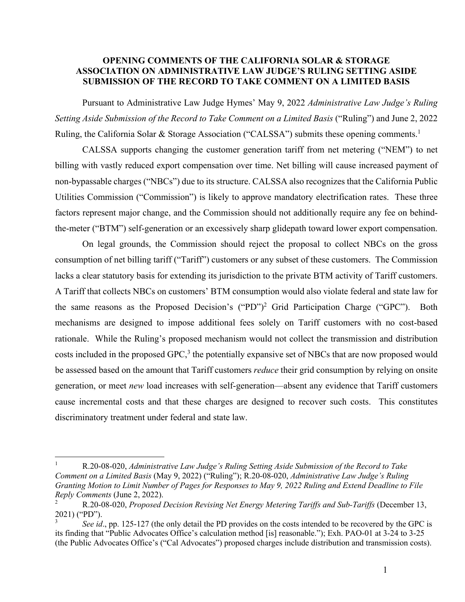## **OPENING COMMENTS OF THE CALIFORNIA SOLAR & STORAGE ASSOCIATION ON ADMINISTRATIVE LAW JUDGE'S RULING SETTING ASIDE SUBMISSION OF THE RECORD TO TAKE COMMENT ON A LIMITED BASIS**

Pursuant to Administrative Law Judge Hymes' May 9, 2022 *Administrative Law Judge's Ruling Setting Aside Submission of the Record to Take Comment on a Limited Basis* ("Ruling") and June 2, 2022 Ruling, the California Solar & Storage Association ("CALSSA") submits these opening comments.<sup>1</sup>

CALSSA supports changing the customer generation tariff from net metering ("NEM") to net billing with vastly reduced export compensation over time. Net billing will cause increased payment of non-bypassable charges ("NBCs") due to its structure. CALSSA also recognizes that the California Public Utilities Commission ("Commission") is likely to approve mandatory electrification rates. These three factors represent major change, and the Commission should not additionally require any fee on behindthe-meter ("BTM") self-generation or an excessively sharp glidepath toward lower export compensation.

On legal grounds, the Commission should reject the proposal to collect NBCs on the gross consumption of net billing tariff ("Tariff") customers or any subset of these customers. The Commission lacks a clear statutory basis for extending its jurisdiction to the private BTM activity of Tariff customers. A Tariff that collects NBCs on customers' BTM consumption would also violate federal and state law for the same reasons as the Proposed Decision's ("PD")<sup>2</sup> Grid Participation Charge ("GPC"). Both mechanisms are designed to impose additional fees solely on Tariff customers with no cost-based rationale. While the Ruling's proposed mechanism would not collect the transmission and distribution costs included in the proposed GPC, $3$  the potentially expansive set of NBCs that are now proposed would be assessed based on the amount that Tariff customers *reduce* their grid consumption by relying on onsite generation, or meet *new* load increases with self-generation—absent any evidence that Tariff customers cause incremental costs and that these charges are designed to recover such costs. This constitutes discriminatory treatment under federal and state law.

<sup>1</sup> R.20-08-020, *Administrative Law Judge's Ruling Setting Aside Submission of the Record to Take Comment on a Limited Basis* (May 9, 2022) ("Ruling"); R.20-08-020, *Administrative Law Judge's Ruling Granting Motion to Limit Number of Pages for Responses to May 9, 2022 Ruling and Extend Deadline to File Reply Comments* (June 2, 2022).

<sup>2</sup> R.20-08-020, *Proposed Decision Revising Net Energy Metering Tariffs and Sub-Tariffs* (December 13, 2021) ("PD").

<sup>3</sup> *See id*., pp. 125-127 (the only detail the PD provides on the costs intended to be recovered by the GPC is its finding that "Public Advocates Office's calculation method [is] reasonable."); Exh. PAO-01 at 3-24 to 3-25 (the Public Advocates Office's ("Cal Advocates") proposed charges include distribution and transmission costs).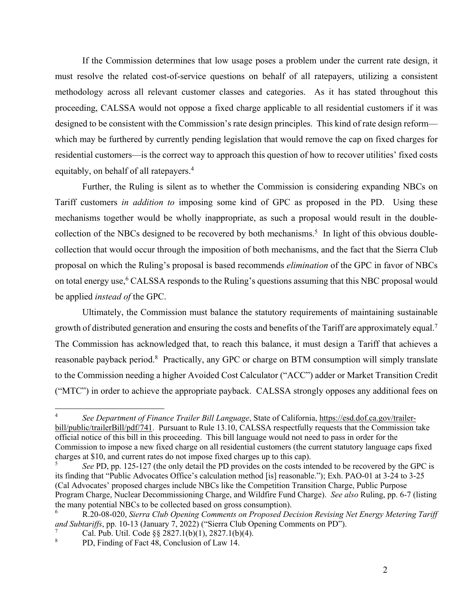If the Commission determines that low usage poses a problem under the current rate design, it must resolve the related cost-of-service questions on behalf of all ratepayers, utilizing a consistent methodology across all relevant customer classes and categories. As it has stated throughout this proceeding, CALSSA would not oppose a fixed charge applicable to all residential customers if it was designed to be consistent with the Commission's rate design principles. This kind of rate design reform which may be furthered by currently pending legislation that would remove the cap on fixed charges for residential customers—is the correct way to approach this question of how to recover utilities' fixed costs equitably, on behalf of all ratepayers.<sup>4</sup>

Further, the Ruling is silent as to whether the Commission is considering expanding NBCs on Tariff customers *in addition to* imposing some kind of GPC as proposed in the PD. Using these mechanisms together would be wholly inappropriate, as such a proposal would result in the doublecollection of the NBCs designed to be recovered by both mechanisms.<sup>5</sup> In light of this obvious doublecollection that would occur through the imposition of both mechanisms, and the fact that the Sierra Club proposal on which the Ruling's proposal is based recommends *elimination* of the GPC in favor of NBCs on total energy use,<sup>6</sup> CALSSA responds to the Ruling's questions assuming that this NBC proposal would be applied *instead of* the GPC.

Ultimately, the Commission must balance the statutory requirements of maintaining sustainable growth of distributed generation and ensuring the costs and benefits of the Tariff are approximately equal.<sup>7</sup> The Commission has acknowledged that, to reach this balance, it must design a Tariff that achieves a reasonable payback period.<sup>8</sup> Practically, any GPC or charge on BTM consumption will simply translate to the Commission needing a higher Avoided Cost Calculator ("ACC") adder or Market Transition Credit ("MTC") in order to achieve the appropriate payback. CALSSA strongly opposes any additional fees on

<sup>4</sup> *See Department of Finance Trailer Bill Language*, State of California, https://esd.dof.ca.gov/trailerbill/public/trailerBill/pdf/741. Pursuant to Rule 13.10, CALSSA respectfully requests that the Commission take official notice of this bill in this proceeding. This bill language would not need to pass in order for the Commission to impose a new fixed charge on all residential customers (the current statutory language caps fixed charges at \$10, and current rates do not impose fixed charges up to this cap).

<sup>5</sup> *See* PD, pp. 125-127 (the only detail the PD provides on the costs intended to be recovered by the GPC is its finding that "Public Advocates Office's calculation method [is] reasonable."); Exh. PAO-01 at 3-24 to 3-25 (Cal Advocates' proposed charges include NBCs like the Competition Transition Charge, Public Purpose Program Charge, Nuclear Decommissioning Charge, and Wildfire Fund Charge). *See also* Ruling, pp. 6-7 (listing the many potential NBCs to be collected based on gross consumption).

<sup>6</sup> R.20-08-020, *Sierra Club Opening Comments on Proposed Decision Revising Net Energy Metering Tariff and Subtariffs*, pp. 10-13 (January 7, 2022) ("Sierra Club Opening Comments on PD"). 7

Cal. Pub. Util. Code §§ 2827.1(b)(1), 2827.1(b)(4).

<sup>8</sup> PD, Finding of Fact 48, Conclusion of Law 14.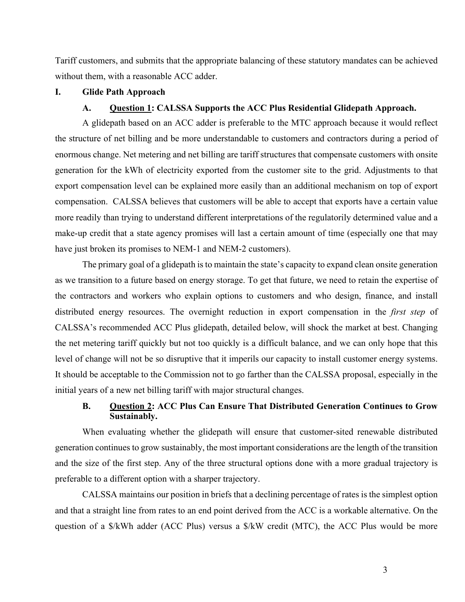Tariff customers, and submits that the appropriate balancing of these statutory mandates can be achieved without them, with a reasonable ACC adder.

## **I. Glide Path Approach**

#### **A. Question 1: CALSSA Supports the ACC Plus Residential Glidepath Approach.**

A glidepath based on an ACC adder is preferable to the MTC approach because it would reflect the structure of net billing and be more understandable to customers and contractors during a period of enormous change. Net metering and net billing are tariff structures that compensate customers with onsite generation for the kWh of electricity exported from the customer site to the grid. Adjustments to that export compensation level can be explained more easily than an additional mechanism on top of export compensation. CALSSA believes that customers will be able to accept that exports have a certain value more readily than trying to understand different interpretations of the regulatorily determined value and a make-up credit that a state agency promises will last a certain amount of time (especially one that may have just broken its promises to NEM-1 and NEM-2 customers).

The primary goal of a glidepath is to maintain the state's capacity to expand clean onsite generation as we transition to a future based on energy storage. To get that future, we need to retain the expertise of the contractors and workers who explain options to customers and who design, finance, and install distributed energy resources. The overnight reduction in export compensation in the *first step* of CALSSA's recommended ACC Plus glidepath, detailed below, will shock the market at best. Changing the net metering tariff quickly but not too quickly is a difficult balance, and we can only hope that this level of change will not be so disruptive that it imperils our capacity to install customer energy systems. It should be acceptable to the Commission not to go farther than the CALSSA proposal, especially in the initial years of a new net billing tariff with major structural changes.

## **B. Question 2: ACC Plus Can Ensure That Distributed Generation Continues to Grow Sustainably.**

When evaluating whether the glidepath will ensure that customer-sited renewable distributed generation continues to grow sustainably, the most important considerations are the length of the transition and the size of the first step. Any of the three structural options done with a more gradual trajectory is preferable to a different option with a sharper trajectory.

CALSSA maintains our position in briefs that a declining percentage of rates is the simplest option and that a straight line from rates to an end point derived from the ACC is a workable alternative. On the question of a \$/kWh adder (ACC Plus) versus a \$/kW credit (MTC), the ACC Plus would be more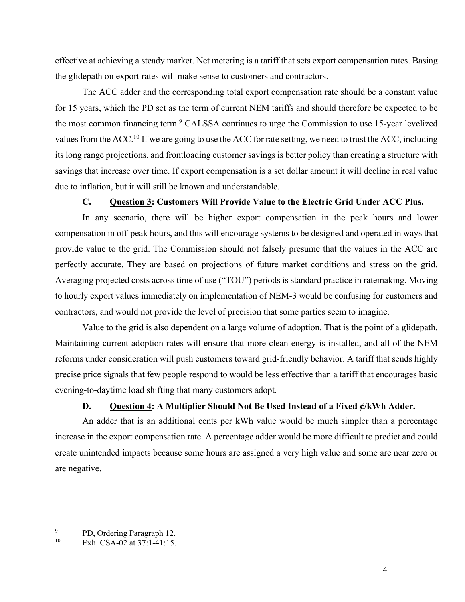effective at achieving a steady market. Net metering is a tariff that sets export compensation rates. Basing the glidepath on export rates will make sense to customers and contractors.

The ACC adder and the corresponding total export compensation rate should be a constant value for 15 years, which the PD set as the term of current NEM tariffs and should therefore be expected to be the most common financing term.<sup>9</sup> CALSSA continues to urge the Commission to use 15-year levelized values from the ACC.<sup>10</sup> If we are going to use the ACC for rate setting, we need to trust the ACC, including its long range projections, and frontloading customer savings is better policy than creating a structure with savings that increase over time. If export compensation is a set dollar amount it will decline in real value due to inflation, but it will still be known and understandable.

#### **C. Question 3: Customers Will Provide Value to the Electric Grid Under ACC Plus.**

In any scenario, there will be higher export compensation in the peak hours and lower compensation in off-peak hours, and this will encourage systems to be designed and operated in ways that provide value to the grid. The Commission should not falsely presume that the values in the ACC are perfectly accurate. They are based on projections of future market conditions and stress on the grid. Averaging projected costs across time of use ("TOU") periods is standard practice in ratemaking. Moving to hourly export values immediately on implementation of NEM-3 would be confusing for customers and contractors, and would not provide the level of precision that some parties seem to imagine.

Value to the grid is also dependent on a large volume of adoption. That is the point of a glidepath. Maintaining current adoption rates will ensure that more clean energy is installed, and all of the NEM reforms under consideration will push customers toward grid-friendly behavior. A tariff that sends highly precise price signals that few people respond to would be less effective than a tariff that encourages basic evening-to-daytime load shifting that many customers adopt.

## **D. Question 4: A Multiplier Should Not Be Used Instead of a Fixed ¢/kWh Adder.**

An adder that is an additional cents per kWh value would be much simpler than a percentage increase in the export compensation rate. A percentage adder would be more difficult to predict and could create unintended impacts because some hours are assigned a very high value and some are near zero or are negative.

<sup>9</sup>  $P$ D, Ordering Paragraph 12.

Exh. CSA-02 at 37:1-41:15.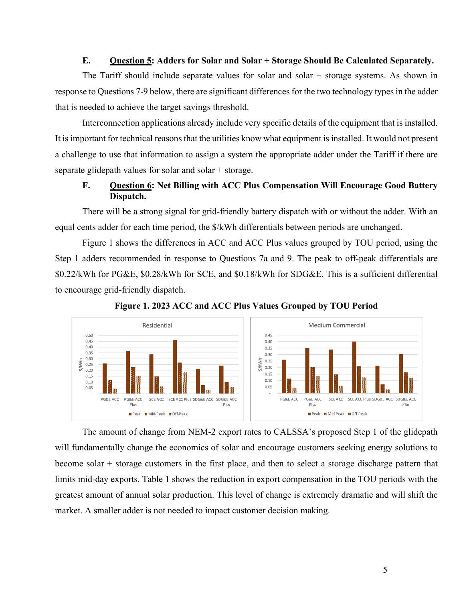## **E.** Ouestion 5: Adders for Solar and Solar + Storage Should Be Calculated Separately.

The Tariff should include separate values for solar and solar  $+$  storage systems. As shown in response to Questions 7-9 below, there are significant differences for the two technology types in the adder that is needed to achieve the target savings threshold.

Interconnection applications already include very specific details of the equipment that is installed. It is important for technical reasons that the utilities know what equipment is installed. It would not present a challenge to use that information to assign a system the appropriate adder under the Tariff if there are separate glidepath values for solar and solar  $+$  storage.

## **F.** Question 6: Net Billing with ACC Plus Compensation Will Encourage Good Battery **Dispatch.**

There will be a strong signal for grid-friendly battery dispatch with or without the adder. With an equal cents adder for each time period, the  $\frac{1}{2}$  KWh differentials between periods are unchanged.

Figure 1 shows the differences in ACC and ACC Plus values grouped by TOU period, using the Step 1 adders recommended in response to Questions 7a and 9. The peak to off-peak differentials are \$0.22/kWh for PG&E, \$0.28/kWh for SCE, and \$0.18/kWh for SDG&E. This is a sufficient differential to encourage grid-friendly dispatch.



Figure 1. 2023 ACC and ACC Plus Values Grouped by TOU Period

The amount of change from NEM-2 export rates to CALSSA's proposed Step 1 of the glidepath will fundamentally change the economics of solar and encourage customers seeking energy solutions to become solar  $+$  storage customers in the first place, and then to select a storage discharge pattern that limits mid-day exports. Table 1 shows the reduction in export compensation in the TOU periods with the greatest amount of annual solar production. This level of change is extremely dramatic and will shift the market. A smaller adder is not needed to impact customer decision making.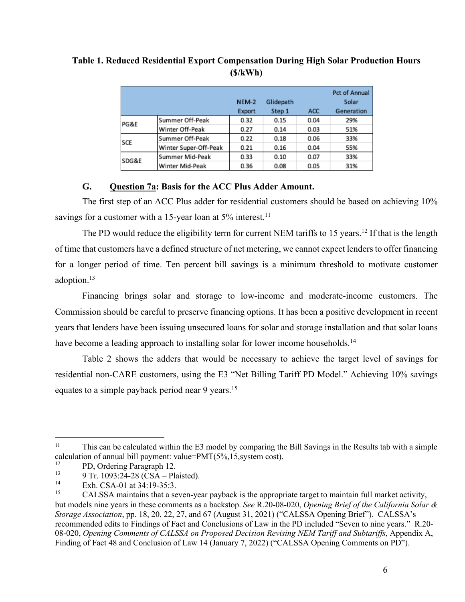|            |                       | NEM-2<br>Export | Glidepath<br>Step 1 | ACC  | Pct of Annual<br>Solar<br>Generation |
|------------|-----------------------|-----------------|---------------------|------|--------------------------------------|
| PG&E       | Summer Off-Peak       | 0.32            | 0.15                | 0.04 | 29%                                  |
|            | Winter Off-Peak       | 0.27            | 0.14                | 0.03 | 51%                                  |
| <b>SCE</b> | Summer Off-Peak       | 0.22            | 0.18                | 0.06 | 33%                                  |
|            | Winter Super-Off-Peak | 0.21            | 0.16                | 0.04 | 55%                                  |
| SDG&E      | Summer Mid-Peak       | 0.33            | 0.10                | 0.07 | 33%                                  |
|            | Winter Mid-Peak       | 0.36            | 0.08                | 0.05 | 31%                                  |

**Table 1. Reduced Residential Export Compensation During High Solar Production Hours (\$/kWh)** 

## **G. Question 7a: Basis for the ACC Plus Adder Amount.**

The first step of an ACC Plus adder for residential customers should be based on achieving 10% savings for a customer with a 15-year loan at  $5\%$  interest.<sup>11</sup>

The PD would reduce the eligibility term for current NEM tariffs to 15 years.<sup>12</sup> If that is the length of time that customers have a defined structure of net metering, we cannot expect lenders to offer financing for a longer period of time. Ten percent bill savings is a minimum threshold to motivate customer adoption.<sup>13</sup>

Financing brings solar and storage to low-income and moderate-income customers. The Commission should be careful to preserve financing options. It has been a positive development in recent years that lenders have been issuing unsecured loans for solar and storage installation and that solar loans have become a leading approach to installing solar for lower income households.<sup>14</sup>

Table 2 shows the adders that would be necessary to achieve the target level of savings for residential non-CARE customers, using the E3 "Net Billing Tariff PD Model." Achieving 10% savings equates to a simple payback period near 9 years.<sup>15</sup>

<sup>&</sup>lt;sup>11</sup> This can be calculated within the E3 model by comparing the Bill Savings in the Results tab with a simple calculation of annual bill payment: value=PMT(5%,15,system cost).

<sup>&</sup>lt;sup>12</sup> PD, Ordering Paragraph 12.<br>  $0 \text{ Tr } 1003.24.28 \text{ (CS A)}$ 

<sup>&</sup>lt;sup>13</sup> 9 Tr. 1093:24-28 (CSA – Plaisted).

<sup>&</sup>lt;sup>14</sup> Exh. CSA-01 at 34:19-35:3.<br><sup>15</sup> CALSSA mointains that a set

<sup>15</sup> CALSSA maintains that a seven-year payback is the appropriate target to maintain full market activity, but models nine years in these comments as a backstop. *See* R.20-08-020, *Opening Brief of the California Solar & Storage Association*, pp. 18, 20, 22, 27, and 67 (August 31, 2021) ("CALSSA Opening Brief"). CALSSA's recommended edits to Findings of Fact and Conclusions of Law in the PD included "Seven to nine years." R.20- 08-020, *Opening Comments of CALSSA on Proposed Decision Revising NEM Tariff and Subtariffs*, Appendix A, Finding of Fact 48 and Conclusion of Law 14 (January 7, 2022) ("CALSSA Opening Comments on PD").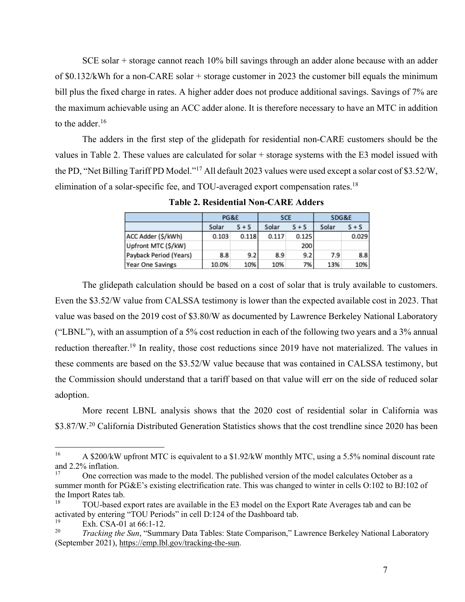SCE solar + storage cannot reach 10% bill savings through an adder alone because with an adder of \$0.132/kWh for a non-CARE solar + storage customer in 2023 the customer bill equals the minimum bill plus the fixed charge in rates. A higher adder does not produce additional savings. Savings of 7% are the maximum achievable using an ACC adder alone. It is therefore necessary to have an MTC in addition to the adder.<sup>16</sup>

The adders in the first step of the glidepath for residential non-CARE customers should be the values in Table 2. These values are calculated for solar + storage systems with the E3 model issued with the PD, "Net Billing Tariff PD Model."<sup>17</sup> All default 2023 values were used except a solar cost of \$3.52/W, elimination of a solar-specific fee, and TOU-averaged export compensation rates.<sup>18</sup>

|                        | PG&E  |         | <b>SCE</b> |         | SDG&E |         |
|------------------------|-------|---------|------------|---------|-------|---------|
|                        | Solar | $S + S$ | Solar      | $S + S$ | Solar | $S + S$ |
| ACC Adder (\$/kWh)     | 0.103 | 0.118   | 0.117      | 0.125   |       | 0.029   |
| Upfront MTC (\$/kW)    |       |         |            | 200     |       |         |
| Payback Period (Years) | 8.8   | 9.2     | 8.9        | 9.2     | 7.9   | 8.8     |
| Year One Savings       | 10.0% | 10%     | 10%        | 7%      | 13%   | 10%     |

**Table 2. Residential Non-CARE Adders** 

The glidepath calculation should be based on a cost of solar that is truly available to customers. Even the \$3.52/W value from CALSSA testimony is lower than the expected available cost in 2023. That value was based on the 2019 cost of \$3.80/W as documented by Lawrence Berkeley National Laboratory ("LBNL"), with an assumption of a 5% cost reduction in each of the following two years and a 3% annual reduction thereafter.<sup>19</sup> In reality, those cost reductions since 2019 have not materialized. The values in these comments are based on the \$3.52/W value because that was contained in CALSSA testimony, but the Commission should understand that a tariff based on that value will err on the side of reduced solar adoption.

More recent LBNL analysis shows that the 2020 cost of residential solar in California was \$3.87/W.<sup>20</sup> California Distributed Generation Statistics shows that the cost trendline since 2020 has been

<sup>&</sup>lt;sup>16</sup> A \$200/kW upfront MTC is equivalent to a \$1.92/kW monthly MTC, using a 5.5% nominal discount rate and 2.2% inflation.

<sup>17</sup> One correction was made to the model. The published version of the model calculates October as a summer month for PG&E's existing electrification rate. This was changed to winter in cells O:102 to BJ:102 of the Import Rates tab.

<sup>&</sup>lt;sup>18</sup> TOU-based export rates are available in the E3 model on the Export Rate Averages tab and can be activated by entering "TOU Periods" in cell D:124 of the Dashboard tab.

 $\frac{19}{20}$  Exh. CSA-01 at 66:1-12.

<sup>20</sup> *Tracking the Sun*, "Summary Data Tables: State Comparison," Lawrence Berkeley National Laboratory (September 2021), https://emp.lbl.gov/tracking-the-sun.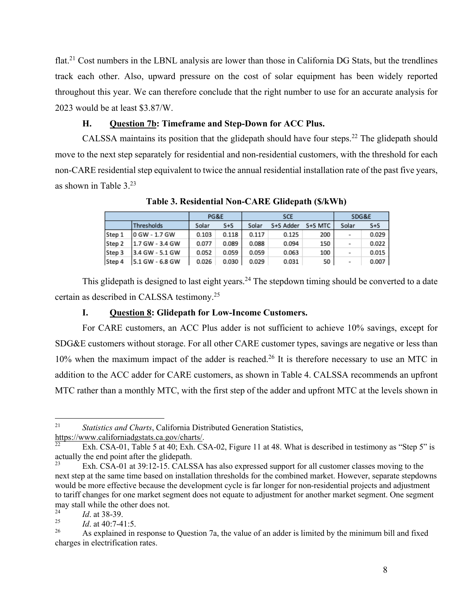flat.<sup>21</sup> Cost numbers in the LBNL analysis are lower than those in California DG Stats, but the trendlines track each other. Also, upward pressure on the cost of solar equipment has been widely reported throughout this year. We can therefore conclude that the right number to use for an accurate analysis for 2023 would be at least \$3.87/W.

## **H. Question 7b: Timeframe and Step-Down for ACC Plus.**

CALSSA maintains its position that the glidepath should have four steps.<sup>22</sup> The glidepath should move to the next step separately for residential and non-residential customers, with the threshold for each non-CARE residential step equivalent to twice the annual residential installation rate of the past five years, as shown in Table 3.<sup>23</sup>

|        |                  | PG&E  |         |       | <b>SCE</b> | SDG&E   |        |         |
|--------|------------------|-------|---------|-------|------------|---------|--------|---------|
|        | Thresholds       | Solar | $S + S$ | Solar | S+S Adder  | S+S MTC | Solar  | $S + S$ |
| Step 1 | l0 GW - 1.7 GW   | 0.103 | 0.118   | 0.117 | 0.125      | 200     | $\sim$ | 0.029   |
| Step 2 | 1.7 GW - 3.4 GW  | 0.077 | 0.089   | 0.088 | 0.094      | 150     | $\,$   | 0.022   |
| Step 3 | 13.4 GW - 5.1 GW | 0.052 | 0.059   | 0.059 | 0.063      | 100     | $\sim$ | 0.015   |
| Step 4 | 15.1 GW - 6.8 GW | 0.026 | 0.030   | 0.029 | 0.031      | 50      | $\,$   | 0.007   |

**Table 3. Residential Non-CARE Glidepath (\$/kWh)** 

This glidepath is designed to last eight years.<sup>24</sup> The stepdown timing should be converted to a date certain as described in CALSSA testimony.<sup>25</sup>

#### **I. Question 8: Glidepath for Low-Income Customers.**

For CARE customers, an ACC Plus adder is not sufficient to achieve 10% savings, except for SDG&E customers without storage. For all other CARE customer types, savings are negative or less than 10% when the maximum impact of the adder is reached.<sup>26</sup> It is therefore necessary to use an MTC in addition to the ACC adder for CARE customers, as shown in Table 4. CALSSA recommends an upfront MTC rather than a monthly MTC, with the first step of the adder and upfront MTC at the levels shown in

<sup>21</sup> *Statistics and Charts*, California Distributed Generation Statistics, https://www.californiadgstats.ca.gov/charts/.

Exh. CSA-01, Table 5 at 40; Exh. CSA-02, Figure 11 at 48. What is described in testimony as "Step 5" is actually the end point after the glidepath.

Exh. CSA-01 at 39:12-15. CALSSA has also expressed support for all customer classes moving to the next step at the same time based on installation thresholds for the combined market. However, separate stepdowns would be more effective because the development cycle is far longer for non-residential projects and adjustment to tariff changes for one market segment does not equate to adjustment for another market segment. One segment may stall while the other does not.<br> $^{24}$ 

 $\frac{24}{25}$  *Id.* at 38-39.

 $\frac{25}{26}$  *Id.* at 40:7-41:5.

<sup>26</sup> As explained in response to Question 7a, the value of an adder is limited by the minimum bill and fixed charges in electrification rates.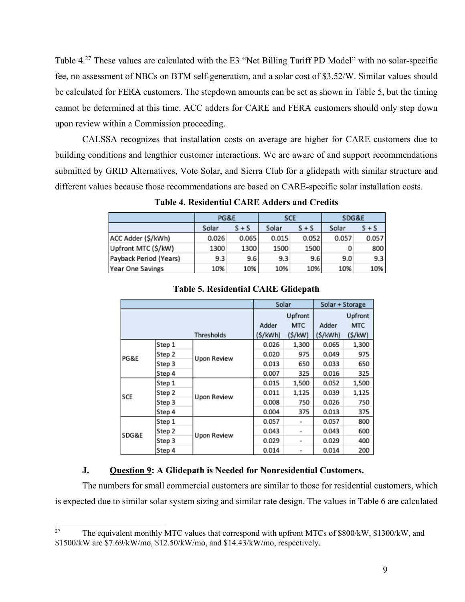Table 4.<sup>27</sup> These values are calculated with the E3 "Net Billing Tariff PD Model" with no solar-specific fee, no assessment of NBCs on BTM self-generation, and a solar cost of \$3.52/W. Similar values should be calculated for FERA customers. The stepdown amounts can be set as shown in Table 5, but the timing cannot be determined at this time. ACC adders for CARE and FERA customers should only step down upon review within a Commission proceeding.

CALSSA recognizes that installation costs on average are higher for CARE customers due to building conditions and lengthier customer interactions. We are aware of and support recommendations submitted by GRID Alternatives, Vote Solar, and Sierra Club for a glidepath with similar structure and different values because those recommendations are based on CARE-specific solar installation costs.

|                        | PG&E  |         | <b>SCE</b> |         | SDG&E |         |  |
|------------------------|-------|---------|------------|---------|-------|---------|--|
|                        | Solar | $S + S$ |            | $S + S$ | Solar | $S + S$ |  |
| ACC Adder (\$/kWh)     | 0.026 | 0.065   | 0.015      | 0.052   | 0.057 | 0.057   |  |
| Upfront MTC (\$/kW)    | 1300  | 1300    | 1500       | 1500    | 0     | 800     |  |
| Payback Period (Years) | 9.3   | 9.6     | 9.3        | 9.6     | 9.0   | 9.3     |  |
| Year One Savings       | 10%   | 10%     | 10%        | 10%     | 10%   | 10%     |  |

**Table 4. Residential CARE Adders and Credits** 

|       |        |             | Solar    |            | Solar + Storage |            |
|-------|--------|-------------|----------|------------|-----------------|------------|
|       |        |             |          | Upfront    |                 | Upfront    |
|       |        |             | Adder    | <b>MTC</b> | Adder           | <b>MTC</b> |
|       |        | Thresholds  | (\$/kWh) | (S/KW)     | (S/KWh)         | (S/KW)     |
|       | Step 1 |             | 0.026    | 1,300      | 0.065           | 1,300      |
| PG&E  | Step 2 | Upon Review | 0.020    | 975        | 0.049           | 975        |
|       | Step 3 |             | 0.013    | 650        | 0.033           | 650        |
|       | Step 4 |             | 0.007    | 325        | 0.016           | 325        |
|       | Step 1 |             | 0.015    | 1,500      | 0.052           | 1,500      |
| SCE   | Step 2 | Upon Review | 0.011    | 1,125      | 0.039           | 1,125      |
|       | Step 3 |             | 0.008    | 750        | 0.026           | 750        |
|       | Step 4 |             | 0.004    | 375        | 0.013           | 375        |
| SDG&E | Step 1 | Upon Review | 0.057    | $\sim$     | 0.057           | 800        |
|       | Step 2 |             | 0.043    | $\sim$     | 0.043           | 600        |
|       | Step 3 |             | 0.029    | ۰          | 0.029           | 400        |
|       | Step 4 |             | 0.014    | ٠          | 0.014           | 200        |

#### **Table 5. Residential CARE Glidepath**

## **J. Question 9: A Glidepath is Needed for Nonresidential Customers.**

The numbers for small commercial customers are similar to those for residential customers, which is expected due to similar solar system sizing and similar rate design. The values in Table 6 are calculated

<sup>&</sup>lt;sup>27</sup> The equivalent monthly MTC values that correspond with upfront MTCs of  $$800/kW, $1300/kW, and$ \$1500/kW are \$7.69/kW/mo, \$12.50/kW/mo, and \$14.43/kW/mo, respectively.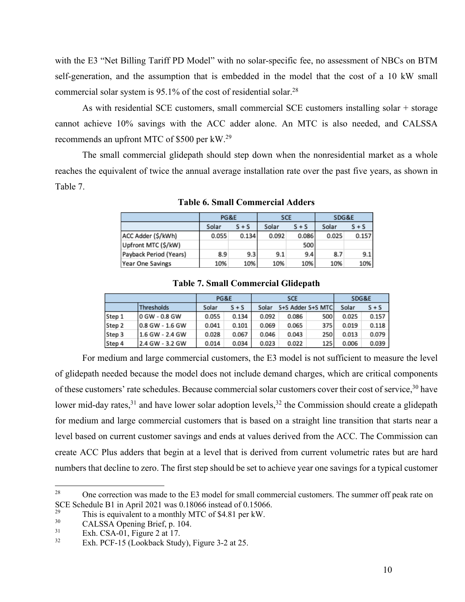with the E3 "Net Billing Tariff PD Model" with no solar-specific fee, no assessment of NBCs on BTM self-generation, and the assumption that is embedded in the model that the cost of a 10 kW small commercial solar system is 95.1% of the cost of residential solar.<sup>28</sup>

As with residential SCE customers, small commercial SCE customers installing solar + storage cannot achieve 10% savings with the ACC adder alone. An MTC is also needed, and CALSSA recommends an upfront MTC of \$500 per kW.<sup>29</sup>

The small commercial glidepath should step down when the nonresidential market as a whole reaches the equivalent of twice the annual average installation rate over the past five years, as shown in Table 7.

|                         |       | PG&E    |       | <b>SCE</b> | SDG&E |         |
|-------------------------|-------|---------|-------|------------|-------|---------|
|                         | Solar | $S + S$ |       | $S + S$    | Solar | $S + S$ |
| ACC Adder (\$/kWh)      | 0.055 | 0.134   | 0.092 | 0.086      | 0.025 | 0.157   |
| Upfront MTC (\$/kW)     |       |         |       | 500        |       |         |
| Payback Period (Years)  | 8.9   | 9.3     | 9.1   | 9.4        | 8.7   | 9.1     |
| <b>Year One Savings</b> | 10%   | 10%     | 10%   | 10%        | 10%   | 10%     |

**Table 6. Small Commercial Adders** 

|  |  |  |  | <b>Table 7. Small Commercial Glidepath</b> |  |
|--|--|--|--|--------------------------------------------|--|
|--|--|--|--|--------------------------------------------|--|

|        |                  | PG&E  |         | SCE   |                   |     | SDG&E |         |
|--------|------------------|-------|---------|-------|-------------------|-----|-------|---------|
|        | Thresholds       | Solar | $S + S$ | Solar | S+S Adder S+S MTC |     | Solar | $S + S$ |
| Step 1 | 10 GW - 0.8 GW   | 0.055 | 0.134   | 0.092 | 0.086             | 500 | 0.025 | 0.157   |
| Step 2 | 10.8 GW - 1.6 GW | 0.041 | 0.101   | 0.069 | 0.065             | 375 | 0.019 | 0.118   |
| Step 3 | 1.6 GW - 2.4 GW  | 0.028 | 0.067   | 0.046 | 0.043             | 250 | 0.013 | 0.079   |
| Step 4 | 2.4 GW - 3.2 GW  | 0.014 | 0.034   | 0.023 | 0.022             | 125 | 0.006 | 0.039   |

For medium and large commercial customers, the E3 model is not sufficient to measure the level of glidepath needed because the model does not include demand charges, which are critical components of these customers' rate schedules. Because commercial solar customers cover their cost of service,<sup>30</sup> have lower mid-day rates,<sup>31</sup> and have lower solar adoption levels,<sup>32</sup> the Commission should create a glidepath for medium and large commercial customers that is based on a straight line transition that starts near a level based on current customer savings and ends at values derived from the ACC. The Commission can create ACC Plus adders that begin at a level that is derived from current volumetric rates but are hard numbers that decline to zero. The first step should be set to achieve year one savings for a typical customer

<sup>&</sup>lt;sup>28</sup> One correction was made to the E3 model for small commercial customers. The summer off peak rate on SCE Schedule B1 in April 2021 was 0.18066 instead of 0.15066.

<sup>&</sup>lt;sup>29</sup> This is equivalent to a monthly MTC of \$4.81 per kW.<br>  $C A I S S A$  Opening Priof n 104

 $^{30}$  CALSSA Opening Brief, p. 104.

 $\frac{31}{32}$  Exh. CSA-01, Figure 2 at 17.

Exh. PCF-15 (Lookback Study), Figure 3-2 at 25.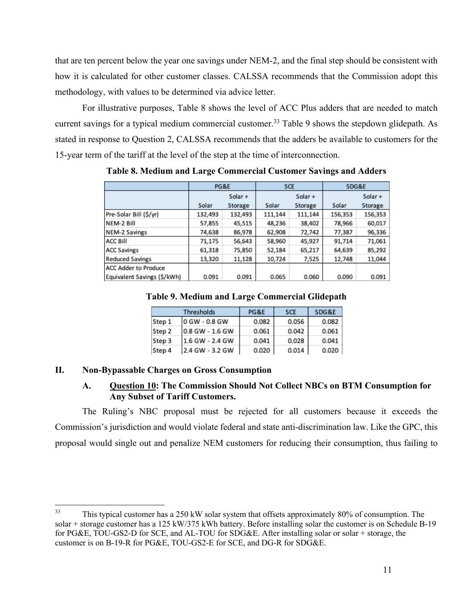that are ten percent below the year one savings under NEM-2, and the final step should be consistent with how it is calculated for other customer classes. CALSSA recommends that the Commission adopt this methodology, with values to be determined via advice letter.

For illustrative purposes, Table 8 shows the level of ACC Plus adders that are needed to match current savings for a typical medium commercial customer.<sup>33</sup> Table 9 shows the stepdown glidepath. As stated in response to Question 2, CALSSA recommends that the adders be available to customers for the 15-year term of the tariff at the level of the step at the time of interconnection.

|                             | PG&E    |         | <b>SCE</b> |         | SDG&E   |         |
|-----------------------------|---------|---------|------------|---------|---------|---------|
|                             | Solar + |         |            | Solar + |         | Solar + |
|                             | Solar   | Storage | Solar      | Storage | Solar   | Storage |
| Pre-Solar Bill (\$/yr)      | 132,493 | 132,493 | 111,144    | 111,144 | 156,353 | 156,353 |
| NEM-2 Bill                  | 57,855  | 45,515  | 48,236     | 38,402  | 78,966  | 60,017  |
| NEM-2 Savings               | 74,638  | 86,978  | 62,908     | 72,742  | 77,387  | 96,336  |
| ACC Bill                    | 71,175  | 56,643  | 58,960     | 45,927  | 91,714  | 71,061  |
| <b>ACC Savings</b>          | 61,318  | 75,850  | 52,184     | 65,217  | 64,639  | 85,292  |
| <b>Reduced Savings</b>      | 13,320  | 11,128  | 10,724     | 7,525   | 12,748  | 11,044  |
| <b>ACC Adder to Produce</b> |         |         |            |         |         |         |
| Equivalent Savings (\$/kWh) | 0.091   | 0.091   | 0.065      | 0.060   | 0.090   | 0.091   |

**Table 8. Medium and Large Commercial Customer Savings and Adders** 

**Table 9. Medium and Large Commercial Glidepath** 

|        | Thresholds      | PG&E  | <b>SCE</b> | SDG&E |
|--------|-----------------|-------|------------|-------|
| Step 1 | 0 GW - 0.8 GW   | 0.082 | 0.056      | 0.082 |
| Step 2 | 0.8 GW - 1.6 GW | 0.061 | 0.042      | 0.061 |
| Step 3 | 1.6 GW - 2.4 GW | 0.041 | 0.028      | 0.041 |
| Step 4 | 2.4 GW - 3.2 GW | 0.020 | 0.014      | 0.020 |

## **II. Non-Bypassable Charges on Gross Consumption**

## **A. Question 10: The Commission Should Not Collect NBCs on BTM Consumption for Any Subset of Tariff Customers.**

The Ruling's NBC proposal must be rejected for all customers because it exceeds the Commission's jurisdiction and would violate federal and state anti-discrimination law. Like the GPC, this proposal would single out and penalize NEM customers for reducing their consumption, thus failing to

<sup>&</sup>lt;sup>33</sup> This typical customer has a 250 kW solar system that offsets approximately 80% of consumption. The solar + storage customer has a 125 kW/375 kWh battery. Before installing solar the customer is on Schedule B-19 for PG&E, TOU-GS2-D for SCE, and AL-TOU for SDG&E. After installing solar or solar + storage, the customer is on B-19-R for PG&E, TOU-GS2-E for SCE, and DG-R for SDG&E.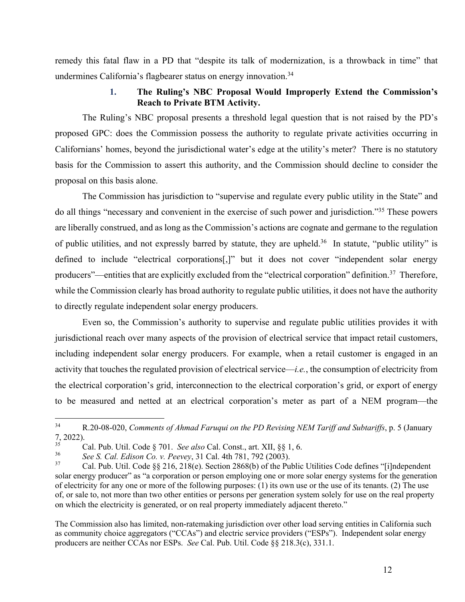remedy this fatal flaw in a PD that "despite its talk of modernization, is a throwback in time" that undermines California's flagbearer status on energy innovation.<sup>34</sup>

## **1. The Ruling's NBC Proposal Would Improperly Extend the Commission's Reach to Private BTM Activity.**

The Ruling's NBC proposal presents a threshold legal question that is not raised by the PD's proposed GPC: does the Commission possess the authority to regulate private activities occurring in Californians' homes, beyond the jurisdictional water's edge at the utility's meter? There is no statutory basis for the Commission to assert this authority, and the Commission should decline to consider the proposal on this basis alone.

The Commission has jurisdiction to "supervise and regulate every public utility in the State" and do all things "necessary and convenient in the exercise of such power and jurisdiction."<sup>35</sup> These powers are liberally construed, and as long as the Commission's actions are cognate and germane to the regulation of public utilities, and not expressly barred by statute, they are upheld.<sup>36</sup>In statute, "public utility" is defined to include "electrical corporations[,]" but it does not cover "independent solar energy producers"—entities that are explicitly excluded from the "electrical corporation" definition.<sup>37</sup> Therefore, while the Commission clearly has broad authority to regulate public utilities, it does not have the authority to directly regulate independent solar energy producers.

Even so, the Commission's authority to supervise and regulate public utilities provides it with jurisdictional reach over many aspects of the provision of electrical service that impact retail customers, including independent solar energy producers. For example, when a retail customer is engaged in an activity that touches the regulated provision of electrical service—*i.e.*, the consumption of electricity from the electrical corporation's grid, interconnection to the electrical corporation's grid, or export of energy to be measured and netted at an electrical corporation's meter as part of a NEM program—the

The Commission also has limited, non-ratemaking jurisdiction over other load serving entities in California such as community choice aggregators ("CCAs") and electric service providers ("ESPs"). Independent solar energy producers are neither CCAs nor ESPs. *See* Cal. Pub. Util. Code §§ 218.3(c), 331.1.

<sup>34</sup> R.20-08-020, *Comments of Ahmad Faruqui on the PD Revising NEM Tariff and Subtariffs*, p. 5 (January 7, 2022).

<sup>35</sup> Cal. Pub. Util. Code § 701. *See also* Cal. Const., art. XII, §§ 1, 6.

<sup>36</sup> *See S. Cal. Edison Co. v. Peevey*, 31 Cal. 4th 781, 792 (2003).

<sup>37</sup> Cal. Pub. Util. Code §§ 216, 218(e). Section 2868(b) of the Public Utilities Code defines "[i]ndependent solar energy producer" as "a corporation or person employing one or more solar energy systems for the generation of electricity for any one or more of the following purposes: (1) its own use or the use of its tenants. (2) The use of, or sale to, not more than two other entities or persons per generation system solely for use on the real property on which the electricity is generated, or on real property immediately adjacent thereto."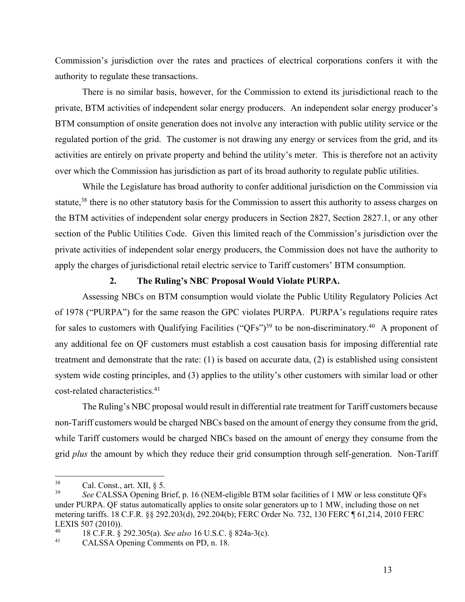Commission's jurisdiction over the rates and practices of electrical corporations confers it with the authority to regulate these transactions.

There is no similar basis, however, for the Commission to extend its jurisdictional reach to the private, BTM activities of independent solar energy producers. An independent solar energy producer's BTM consumption of onsite generation does not involve any interaction with public utility service or the regulated portion of the grid. The customer is not drawing any energy or services from the grid, and its activities are entirely on private property and behind the utility's meter. This is therefore not an activity over which the Commission has jurisdiction as part of its broad authority to regulate public utilities.

While the Legislature has broad authority to confer additional jurisdiction on the Commission via statute,<sup>38</sup> there is no other statutory basis for the Commission to assert this authority to assess charges on the BTM activities of independent solar energy producers in Section 2827, Section 2827.1, or any other section of the Public Utilities Code. Given this limited reach of the Commission's jurisdiction over the private activities of independent solar energy producers, the Commission does not have the authority to apply the charges of jurisdictional retail electric service to Tariff customers' BTM consumption.

## **2. The Ruling's NBC Proposal Would Violate PURPA.**

Assessing NBCs on BTM consumption would violate the Public Utility Regulatory Policies Act of 1978 ("PURPA") for the same reason the GPC violates PURPA. PURPA's regulations require rates for sales to customers with Qualifying Facilities ("QFs")<sup>39</sup> to be non-discriminatory.<sup>40</sup> A proponent of any additional fee on QF customers must establish a cost causation basis for imposing differential rate treatment and demonstrate that the rate: (1) is based on accurate data, (2) is established using consistent system wide costing principles, and (3) applies to the utility's other customers with similar load or other cost-related characteristics.<sup>41</sup>

The Ruling's NBC proposal would result in differential rate treatment for Tariff customers because non-Tariff customers would be charged NBCs based on the amount of energy they consume from the grid, while Tariff customers would be charged NBCs based on the amount of energy they consume from the grid *plus* the amount by which they reduce their grid consumption through self-generation. Non-Tariff

 $^{38}$  Cal. Const., art. XII, § 5.<br> $^{39}$  See CALSSA Opening P.

<sup>39</sup> *See* CALSSA Opening Brief, p. 16 (NEM-eligible BTM solar facilities of 1 MW or less constitute QFs under PURPA. QF status automatically applies to onsite solar generators up to 1 MW, including those on net metering tariffs. 18 C.F.R. §§ 292.203(d), 292.204(b); FERC Order No. 732, 130 FERC ¶ 61,214, 2010 FERC LEXIS 507 (2010)).

<sup>40</sup> 18 C.F.R. § 292.305(a). *See also* 16 U.S.C. § 824a-3(c).

CALSSA Opening Comments on PD, n. 18.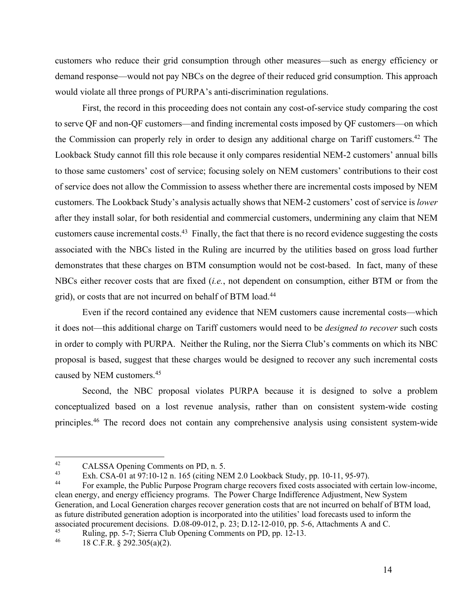customers who reduce their grid consumption through other measures—such as energy efficiency or demand response—would not pay NBCs on the degree of their reduced grid consumption. This approach would violate all three prongs of PURPA's anti-discrimination regulations.

First, the record in this proceeding does not contain any cost-of-service study comparing the cost to serve QF and non-QF customers—and finding incremental costs imposed by QF customers—on which the Commission can properly rely in order to design any additional charge on Tariff customers.<sup>42</sup> The Lookback Study cannot fill this role because it only compares residential NEM-2 customers' annual bills to those same customers' cost of service; focusing solely on NEM customers' contributions to their cost of service does not allow the Commission to assess whether there are incremental costs imposed by NEM customers. The Lookback Study's analysis actually shows that NEM-2 customers' cost of service is *lower* after they install solar, for both residential and commercial customers, undermining any claim that NEM customers cause incremental costs.<sup>43</sup> Finally, the fact that there is no record evidence suggesting the costs associated with the NBCs listed in the Ruling are incurred by the utilities based on gross load further demonstrates that these charges on BTM consumption would not be cost-based. In fact, many of these NBCs either recover costs that are fixed (*i.e.*, not dependent on consumption, either BTM or from the grid), or costs that are not incurred on behalf of BTM load.<sup>44</sup>

Even if the record contained any evidence that NEM customers cause incremental costs—which it does not—this additional charge on Tariff customers would need to be *designed to recover* such costs in order to comply with PURPA. Neither the Ruling, nor the Sierra Club's comments on which its NBC proposal is based, suggest that these charges would be designed to recover any such incremental costs caused by NEM customers.<sup>45</sup>

Second, the NBC proposal violates PURPA because it is designed to solve a problem conceptualized based on a lost revenue analysis, rather than on consistent system-wide costing principles.<sup>46</sup> The record does not contain any comprehensive analysis using consistent system-wide

<sup>&</sup>lt;sup>42</sup> CALSSA Opening Comments on PD, n. 5.<br><sup>43</sup> Eyk CSA 01 at 07:10.12 n. 165 (aiting NE

 $\frac{43}{44}$  Exh. CSA-01 at 97:10-12 n. 165 (citing NEM 2.0 Lookback Study, pp. 10-11, 95-97).

For example, the Public Purpose Program charge recovers fixed costs associated with certain low-income, clean energy, and energy efficiency programs. The Power Charge Indifference Adjustment, New System Generation, and Local Generation charges recover generation costs that are not incurred on behalf of BTM load, as future distributed generation adoption is incorporated into the utilities' load forecasts used to inform the associated procurement decisions. D.08-09-012, p. 23; D.12-12-010, pp. 5-6, Attachments A and C.

<sup>&</sup>lt;sup>45</sup> Ruling, pp. 5-7; Sierra Club Opening Comments on PD, pp. 12-13.

<sup>46</sup> 18 C.F.R. § 292.305(a)(2).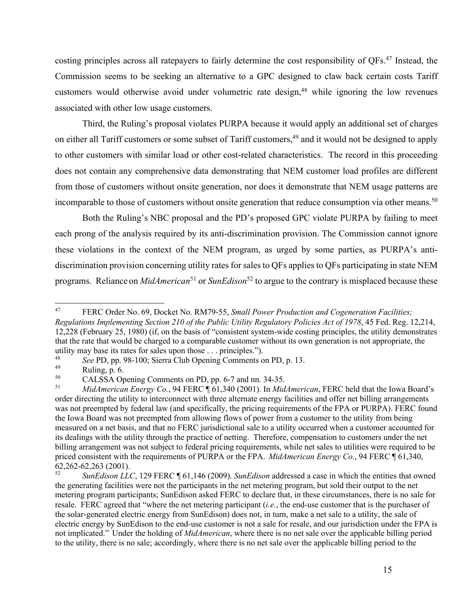costing principles across all ratepayers to fairly determine the cost responsibility of QFs.<sup>47</sup> Instead, the Commission seems to be seeking an alternative to a GPC designed to claw back certain costs Tariff customers would otherwise avoid under volumetric rate design,<sup>48</sup> while ignoring the low revenues associated with other low usage customers.

Third, the Ruling's proposal violates PURPA because it would apply an additional set of charges on either all Tariff customers or some subset of Tariff customers,<sup>49</sup> and it would not be designed to apply to other customers with similar load or other cost-related characteristics.The record in this proceeding does not contain any comprehensive data demonstrating that NEM customer load profiles are different from those of customers without onsite generation, nor does it demonstrate that NEM usage patterns are incomparable to those of customers without onsite generation that reduce consumption via other means.<sup>50</sup>

Both the Ruling's NBC proposal and the PD's proposed GPC violate PURPA by failing to meet each prong of the analysis required by its anti-discrimination provision. The Commission cannot ignore these violations in the context of the NEM program, as urged by some parties, as PURPA's antidiscrimination provision concerning utility rates for sales to QFs applies to QFs participating in state NEM programs. Reliance on *MidAmerican*<sup>51</sup> or *SunEdison*<sup>52</sup> to argue to the contrary is misplaced because these

<sup>47</sup> FERC Order No. 69, Docket No. RM79-55, *Small Power Production and Cogeneration Facilities; Regulations Implementing Section 210 of the Public Utility Regulatory Policies Act of 1978*, 45 Fed. Reg. 12,214, 12,228 (February 25, 1980) (if, on the basis of "consistent system-wide costing principles, the utility demonstrates that the rate that would be charged to a comparable customer without its own generation is not appropriate, the utility may base its rates for sales upon those  $\ldots$  principles.").

<sup>&</sup>lt;sup>48</sup> *See PD, pp. 98-100; Sierra Club Opening Comments on PD, p. 13.*<br><sup>49</sup> Puling p. 6

<sup>&</sup>lt;sup>49</sup> Ruling, p. 6.<br> $\frac{50}{4}$  Ruling, p. 6.

<sup>&</sup>lt;sup>50</sup> CALSSA Opening Comments on PD, pp. 6-7 and nn. 34-35.<br> *Mid American Francy Co.* 04 FERC **6.61.340** (2001). In Mid

<sup>51</sup> *MidAmerican Energy Co.*, 94 FERC ¶ 61,340 (2001). In *MidAmerican*, FERC held that the Iowa Board's order directing the utility to interconnect with three alternate energy facilities and offer net billing arrangements was not preempted by federal law (and specifically, the pricing requirements of the FPA or PURPA). FERC found the Iowa Board was not preempted from allowing flows of power from a customer to the utility from being measured on a net basis, and that no FERC jurisdictional sale to a utility occurred when a customer accounted for its dealings with the utility through the practice of netting. Therefore, compensation to customers under the net billing arrangement was not subject to federal pricing requirements, while net sales to utilities were required to be priced consistent with the requirements of PURPA or the FPA. *MidAmerican Energy Co.*, 94 FERC ¶ 61,340, 62,262-62,263 (2001).

<sup>52</sup> *SunEdison LLC*, 129 FERC ¶ 61,146 (2009). *SunEdison* addressed a case in which the entities that owned the generating facilities were not the participants in the net metering program, but sold their output to the net metering program participants; SunEdison asked FERC to declare that, in these circumstances, there is no sale for resale. FERC agreed that "where the net metering participant (*i.e.*, the end-use customer that is the purchaser of the solar-generated electric energy from SunEdison) does not, in turn, make a net sale to a utility, the sale of electric energy by SunEdison to the end-use customer is not a sale for resale, and our jurisdiction under the FPA is not implicated." Under the holding of *MidAmerican*, where there is no net sale over the applicable billing period to the utility, there is no sale; accordingly, where there is no net sale over the applicable billing period to the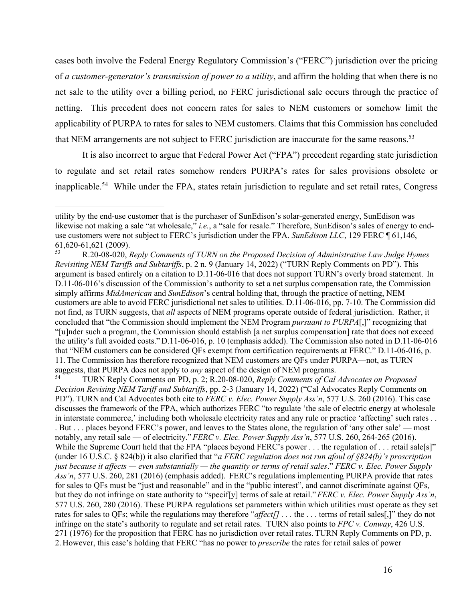cases both involve the Federal Energy Regulatory Commission's ("FERC") jurisdiction over the pricing of *a customer-generator's transmission of power to a utility*, and affirm the holding that when there is no net sale to the utility over a billing period, no FERC jurisdictional sale occurs through the practice of netting. This precedent does not concern rates for sales to NEM customers or somehow limit the applicability of PURPA to rates for sales to NEM customers. Claims that this Commission has concluded that NEM arrangements are not subject to FERC jurisdiction are inaccurate for the same reasons.<sup>53</sup>

It is also incorrect to argue that Federal Power Act ("FPA") precedent regarding state jurisdiction to regulate and set retail rates somehow renders PURPA's rates for sales provisions obsolete or inapplicable.<sup>54</sup> While under the FPA, states retain jurisdiction to regulate and set retail rates, Congress

utility by the end-use customer that is the purchaser of SunEdison's solar-generated energy, SunEdison was likewise not making a sale "at wholesale," *i.e.*, a "sale for resale." Therefore, SunEdison's sales of energy to enduse customers were not subject to FERC's jurisdiction under the FPA. *SunEdison LLC*, 129 FERC ¶ 61,146, 61,620-61,621 (2009).

<sup>53</sup> R.20-08-020, *Reply Comments of TURN on the Proposed Decision of Administrative Law Judge Hymes Revisiting NEM Tariffs and Subtariffs*, p. 2 n. 9 (January 14, 2022) ("TURN Reply Comments on PD"). This argument is based entirely on a citation to D.11-06-016 that does not support TURN's overly broad statement. In D.11-06-016's discussion of the Commission's authority to set a net surplus compensation rate, the Commission simply affirms *MidAmerican* and *SunEdison*'s central holding that, through the practice of netting, NEM customers are able to avoid FERC jurisdictional net sales to utilities. D.11-06-016, pp. 7-10. The Commission did not find, as TURN suggests, that *all* aspects of NEM programs operate outside of federal jurisdiction. Rather, it concluded that "the Commission should implement the NEM Program *pursuant to PURPA*[,]" recognizing that "[u]nder such a program, the Commission should establish [a net surplus compensation] rate that does not exceed the utility's full avoided costs." D.11-06-016, p. 10 (emphasis added). The Commission also noted in D.11-06-016 that "NEM customers can be considered QFs exempt from certification requirements at FERC." D.11-06-016, p. 11. The Commission has therefore recognized that NEM customers are QFs under PURPA—not, as TURN suggests, that PURPA does not apply to *any* aspect of the design of NEM programs.

<sup>54</sup> TURN Reply Comments on PD, p. 2; R.20-08-020, *Reply Comments of Cal Advocates on Proposed Decision Revising NEM Tariff and Subtariffs*, pp. 2-3 (January 14, 2022) ("Cal Advocates Reply Comments on PD"). TURN and Cal Advocates both cite to *FERC v. Elec. Power Supply Ass'n*, 577 U.S. 260 (2016). This case discusses the framework of the FPA, which authorizes FERC "to regulate 'the sale of electric energy at wholesale in interstate commerce,' including both wholesale electricity rates and any rule or practice 'affecting' such rates . . . But . . . places beyond FERC's power, and leaves to the States alone, the regulation of 'any other sale' — most notably, any retail sale — of electricity." *FERC v. Elec. Power Supply Ass'n*, 577 U.S. 260, 264-265 (2016). While the Supreme Court held that the FPA "places beyond FERC's power . . . the regulation of . . . retail sale[s]" (under 16 U.S.C. § 824(b)) it also clarified that "*a FERC regulation does not run afoul of §824(b)'s proscription just because it affects — even substantially — the quantity or terms of retail sales*." *FERC v. Elec. Power Supply Ass'n*, 577 U.S. 260, 281 (2016) (emphasis added). FERC's regulations implementing PURPA provide that rates for sales to QFs must be "just and reasonable" and in the "public interest", and cannot discriminate against QFs, but they do not infringe on state authority to "specif[y] terms of sale at retail."*FERC v. Elec. Power Supply Ass'n*, 577 U.S. 260, 280 (2016). These PURPA regulations set parameters within which utilities must operate as they set rates for sales to QFs; while the regulations may therefore "*affect[] . . .* the . . . terms of retail sales[,]" they do not infringe on the state's authority to regulate and set retail rates.TURN also points to *FPC v. Conway*, 426 U.S. 271 (1976) for the proposition that FERC has no jurisdiction over retail rates. TURN Reply Comments on PD, p. 2. However, this case's holding that FERC "has no power to *prescribe* the rates for retail sales of power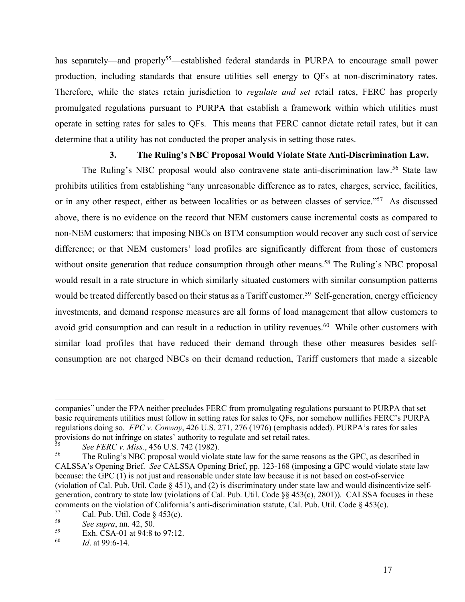has separately—and properly<sup>55</sup>—established federal standards in PURPA to encourage small power production, including standards that ensure utilities sell energy to QFs at non-discriminatory rates. Therefore, while the states retain jurisdiction to *regulate and set* retail rates, FERC has properly promulgated regulations pursuant to PURPA that establish a framework within which utilities must operate in setting rates for sales to QFs. This means that FERC cannot dictate retail rates, but it can determine that a utility has not conducted the proper analysis in setting those rates.

## **3. The Ruling's NBC Proposal Would Violate State Anti-Discrimination Law.**

The Ruling's NBC proposal would also contravene state anti-discrimination law.<sup>56</sup> State law prohibits utilities from establishing "any unreasonable difference as to rates, charges, service, facilities, or in any other respect, either as between localities or as between classes of service."<sup>57</sup> As discussed above, there is no evidence on the record that NEM customers cause incremental costs as compared to non-NEM customers; that imposing NBCs on BTM consumption would recover any such cost of service difference; or that NEM customers' load profiles are significantly different from those of customers without onsite generation that reduce consumption through other means.<sup>58</sup> The Ruling's NBC proposal would result in a rate structure in which similarly situated customers with similar consumption patterns would be treated differently based on their status as a Tariff customer.<sup>59</sup> Self-generation, energy efficiency investments, and demand response measures are all forms of load management that allow customers to avoid grid consumption and can result in a reduction in utility revenues.<sup>60</sup> While other customers with similar load profiles that have reduced their demand through these other measures besides selfconsumption are not charged NBCs on their demand reduction, Tariff customers that made a sizeable

companies" under the FPA neither precludes FERC from promulgating regulations pursuant to PURPA that set basic requirements utilities must follow in setting rates for sales to QFs, nor somehow nullifies FERC's PURPA regulations doing so. *FPC v. Conway*, 426 U.S. 271, 276 (1976) (emphasis added). PURPA's rates for sales provisions do not infringe on states' authority to regulate and set retail rates.

<sup>&</sup>lt;sup>55</sup> *See FERC v. Miss.*, 456 U.S. 742 (1982).<br><sup>56</sup> The Puling's NPC proposel would violate

The Ruling's NBC proposal would violate state law for the same reasons as the GPC, as described in CALSSA's Opening Brief. *See* CALSSA Opening Brief, pp. 123-168 (imposing a GPC would violate state law because: the GPC (1) is not just and reasonable under state law because it is not based on cost-of-service (violation of Cal. Pub. Util. Code § 451), and (2) is discriminatory under state law and would disincentivize selfgeneration, contrary to state law (violations of Cal. Pub. Util. Code §§ 453(c), 2801)). CALSSA focuses in these comments on the violation of California's anti-discrimination statute, Cal. Pub. Util. Code § 453(c).

<sup>&</sup>lt;sup>57</sup> Cal. Pub. Util. Code  $\S$  453(c).<br><sup>58</sup> See supra pp. 42, 50

<sup>58</sup> *See supra*, nn. 42, 50.

 $^{59}$  Exh. CSA-01 at 94:8 to 97:12.

*Id.* at 99:6-14.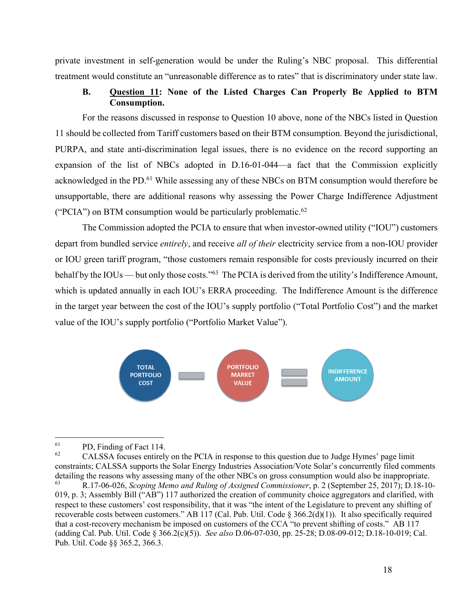private investment in self-generation would be under the Ruling's NBC proposal. This differential treatment would constitute an "unreasonable difference as to rates" that is discriminatory under state law.

## **B. Question 11: None of the Listed Charges Can Properly Be Applied to BTM Consumption.**

 For the reasons discussed in response to Question 10 above, none of the NBCs listed in Question 11 should be collected from Tariff customers based on their BTM consumption. Beyond the jurisdictional, PURPA, and state anti-discrimination legal issues, there is no evidence on the record supporting an expansion of the list of NBCs adopted in D.16-01-044—a fact that the Commission explicitly acknowledged in the PD.<sup>61</sup> While assessing any of these NBCs on BTM consumption would therefore be unsupportable, there are additional reasons why assessing the Power Charge Indifference Adjustment ("PCIA") on BTM consumption would be particularly problematic.<sup>62</sup>

The Commission adopted the PCIA to ensure that when investor-owned utility ("IOU") customers depart from bundled service *entirely*, and receive *all of their* electricity service from a non-IOU provider or IOU green tariff program, "those customers remain responsible for costs previously incurred on their behalf by the IOUs — but only those costs."<sup>63</sup> The PCIA is derived from the utility's Indifference Amount, which is updated annually in each IOU's ERRA proceeding. The Indifference Amount is the difference in the target year between the cost of the IOU's supply portfolio ("Total Portfolio Cost") and the market value of the IOU's supply portfolio ("Portfolio Market Value").



 $\begin{array}{c}\n\text{61} \\
\text{62}\n\end{array}$  PD, Finding of Fact 114.

<sup>62</sup> CALSSA focuses entirely on the PCIA in response to this question due to Judge Hymes' page limit constraints; CALSSA supports the Solar Energy Industries Association/Vote Solar's concurrently filed comments detailing the reasons why assessing many of the other NBCs on gross consumption would also be inappropriate.<br><sup>63</sup><br>P 17.06.026. Scoping Mamo and Puling of Assigned Commissionar, p. 2 (September 25, 2017): D 18, 10 <sup>63</sup> R.17-06-026, *Scoping Memo and Ruling of Assigned Commissioner*, p. 2 (September 25, 2017); D.18-10- 019, p. 3; Assembly Bill ("AB") 117 authorized the creation of community choice aggregators and clarified, with respect to these customers' cost responsibility, that it was "the intent of the Legislature to prevent any shifting of recoverable costs between customers." AB 117 (Cal. Pub. Util. Code § 366.2(d)(1)). It also specifically required that a cost-recovery mechanism be imposed on customers of the CCA "to prevent shifting of costs." AB 117 (adding Cal. Pub. Util. Code § 366.2(c)(5)). *See also* D.06-07-030, pp. 25-28; D.08-09-012; D.18-10-019; Cal.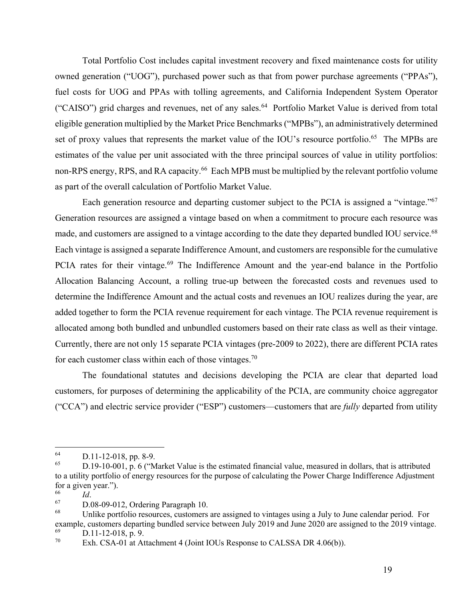Total Portfolio Cost includes capital investment recovery and fixed maintenance costs for utility owned generation ("UOG"), purchased power such as that from power purchase agreements ("PPAs"), fuel costs for UOG and PPAs with tolling agreements, and California Independent System Operator ("CAISO") grid charges and revenues, net of any sales.<sup>64</sup> Portfolio Market Value is derived from total eligible generation multiplied by the Market Price Benchmarks ("MPBs"), an administratively determined set of proxy values that represents the market value of the IOU's resource portfolio.<sup>65</sup> The MPBs are estimates of the value per unit associated with the three principal sources of value in utility portfolios: non-RPS energy, RPS, and RA capacity.<sup>66</sup> Each MPB must be multiplied by the relevant portfolio volume as part of the overall calculation of Portfolio Market Value.

Each generation resource and departing customer subject to the PCIA is assigned a "vintage."<sup>67</sup> Generation resources are assigned a vintage based on when a commitment to procure each resource was made, and customers are assigned to a vintage according to the date they departed bundled IOU service.<sup>68</sup> Each vintage is assigned a separate Indifference Amount, and customers are responsible for the cumulative PCIA rates for their vintage.<sup>69</sup> The Indifference Amount and the year-end balance in the Portfolio Allocation Balancing Account, a rolling true-up between the forecasted costs and revenues used to determine the Indifference Amount and the actual costs and revenues an IOU realizes during the year, are added together to form the PCIA revenue requirement for each vintage. The PCIA revenue requirement is allocated among both bundled and unbundled customers based on their rate class as well as their vintage. Currently, there are not only 15 separate PCIA vintages (pre-2009 to 2022), there are different PCIA rates for each customer class within each of those vintages.<sup>70</sup>

The foundational statutes and decisions developing the PCIA are clear that departed load customers, for purposes of determining the applicability of the PCIA, are community choice aggregator ("CCA") and electric service provider ("ESP") customers—customers that are *fully* departed from utility

 $\frac{64}{65}$  D.11-12-018, pp. 8-9.

<sup>65</sup> D.19-10-001, p. 6 ("Market Value is the estimated financial value, measured in dollars, that is attributed to a utility portfolio of energy resources for the purpose of calculating the Power Charge Indifference Adjustment for a given year.").

 $\frac{66}{67}$  *Id.* 

 $^{67}$  D.08-09-012, Ordering Paragraph 10.<br> $^{68}$  Unlike portfolio resources, outcomers

Unlike portfolio resources, customers are assigned to vintages using a July to June calendar period. For example, customers departing bundled service between July 2019 and June 2020 are assigned to the 2019 vintage.

 $\frac{69}{70}$  D.11-12-018, p. 9.

Exh. CSA-01 at Attachment 4 (Joint IOUs Response to CALSSA DR 4.06(b)).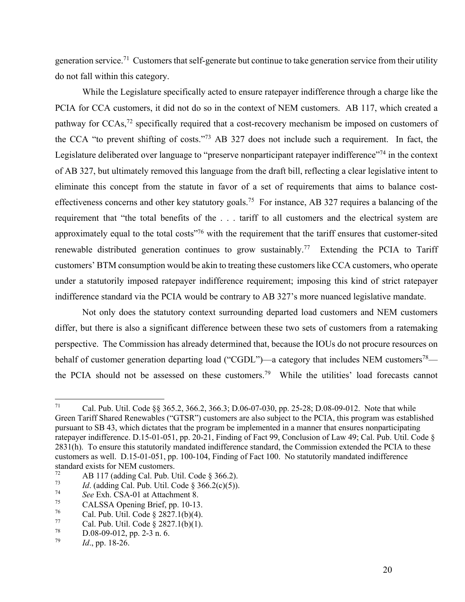generation service.<sup>71</sup> Customers that self-generate but continue to take generation service from their utility do not fall within this category.

While the Legislature specifically acted to ensure ratepayer indifference through a charge like the PCIA for CCA customers, it did not do so in the context of NEM customers. AB 117, which created a pathway for CCAs,<sup>72</sup> specifically required that a cost-recovery mechanism be imposed on customers of the CCA "to prevent shifting of costs."<sup>73</sup> AB 327 does not include such a requirement. In fact, the Legislature deliberated over language to "preserve nonparticipant ratepayer indifference"<sup>74</sup> in the context of AB 327, but ultimately removed this language from the draft bill, reflecting a clear legislative intent to eliminate this concept from the statute in favor of a set of requirements that aims to balance costeffectiveness concerns and other key statutory goals.<sup>75</sup> For instance, AB 327 requires a balancing of the requirement that "the total benefits of the . . . tariff to all customers and the electrical system are approximately equal to the total costs<sup>"76</sup> with the requirement that the tariff ensures that customer-sited renewable distributed generation continues to grow sustainably.<sup>77</sup> Extending the PCIA to Tariff customers' BTM consumption would be akin to treating these customers like CCA customers, who operate under a statutorily imposed ratepayer indifference requirement; imposing this kind of strict ratepayer indifference standard via the PCIA would be contrary to AB 327's more nuanced legislative mandate.

Not only does the statutory context surrounding departed load customers and NEM customers differ, but there is also a significant difference between these two sets of customers from a ratemaking perspective. The Commission has already determined that, because the IOUs do not procure resources on behalf of customer generation departing load ("CGDL")—a category that includes NEM customers<sup>78</sup> the PCIA should not be assessed on these customers.<sup>79</sup> While the utilities' load forecasts cannot

<sup>71</sup> Cal. Pub. Util. Code §§ 365.2, 366.2, 366.3; D.06-07-030, pp. 25-28; D.08-09-012. Note that while Green Tariff Shared Renewables ("GTSR") customers are also subject to the PCIA, this program was established pursuant to SB 43, which dictates that the program be implemented in a manner that ensures nonparticipating ratepayer indifference. D.15-01-051, pp. 20-21, Finding of Fact 99, Conclusion of Law 49; Cal. Pub. Util. Code § 2831(h). To ensure this statutorily mandated indifference standard, the Commission extended the PCIA to these customers as well. D.15-01-051, pp. 100-104, Finding of Fact 100. No statutorily mandated indifference standard exists for NEM customers.<br> $\frac{72}{12}$  AB 117 (edding Cal Bub II)

<sup>&</sup>lt;sup>72</sup> AB 117 (adding Cal. Pub. Util. Code § 366.2).<br><sup>73</sup> *Id.* (adding Cal. Pub. Util. Code § 366.2(a)(5)).

<sup>&</sup>lt;sup>73</sup> *Id.* (adding Cal. Pub. Util. Code § 366.2(c)(5)).<br><sup>74</sup> See Eyb. CSA, 01 at Attenbrant 8

<sup>74</sup> *See* Exh. CSA-01 at Attachment 8.

 $^{75}$  CALSSA Opening Brief, pp. 10-13.<br> $^{76}$  Cel Bub Util Code 8, 2827, 1(b)(4)

<sup>&</sup>lt;sup>76</sup> Cal. Pub. Util. Code § 2827.1(b)(4).<br><sup>77</sup> Cal. Pub. Util. Code § 2827.1(b)(1).

 $^{77}$  Cal. Pub. Util. Code § 2827.1(b)(1).<br>  $^{78}$  D 08.00.012 pp. 2.3 p 6.

 $^{78}$  D.08-09-012, pp. 2-3 n. 6.<br> $^{79}$   $^{19}$   $^{19}$  26

*Id.*, pp. 18-26.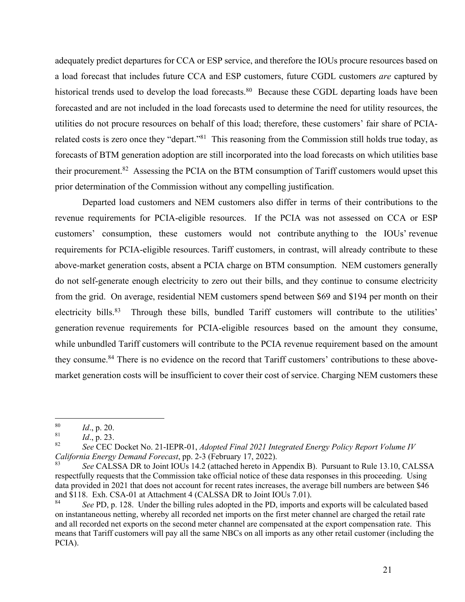adequately predict departures for CCA or ESP service, and therefore the IOUs procure resources based on a load forecast that includes future CCA and ESP customers, future CGDL customers *are* captured by historical trends used to develop the load forecasts.<sup>80</sup> Because these CGDL departing loads have been forecasted and are not included in the load forecasts used to determine the need for utility resources, the utilities do not procure resources on behalf of this load; therefore, these customers' fair share of PCIArelated costs is zero once they "depart."<sup>81</sup> This reasoning from the Commission still holds true today, as forecasts of BTM generation adoption are still incorporated into the load forecasts on which utilities base their procurement.<sup>82</sup> Assessing the PCIA on the BTM consumption of Tariff customers would upset this prior determination of the Commission without any compelling justification.

Departed load customers and NEM customers also differ in terms of their contributions to the revenue requirements for PCIA-eligible resources. If the PCIA was not assessed on CCA or ESP customers' consumption, these customers would not contribute anything to the IOUs' revenue requirements for PCIA-eligible resources. Tariff customers, in contrast, will already contribute to these above-market generation costs, absent a PCIA charge on BTM consumption. NEM customers generally do not self-generate enough electricity to zero out their bills, and they continue to consume electricity from the grid. On average, residential NEM customers spend between \$69 and \$194 per month on their electricity bills.<sup>83</sup> Through these bills, bundled Tariff customers will contribute to the utilities' generation revenue requirements for PCIA-eligible resources based on the amount they consume, while unbundled Tariff customers will contribute to the PCIA revenue requirement based on the amount they consume.84 There is no evidence on the record that Tariff customers' contributions to these abovemarket generation costs will be insufficient to cover their cost of service. Charging NEM customers these

 $\frac{80}{81}$  *Id.*, p. 20.

 $\frac{81}{82}$  *Id.*, p. 23.

<sup>82</sup> *See* CEC Docket No. 21-IEPR-01, *Adopted Final 2021 Integrated Energy Policy Report Volume IV California Energy Demand Forecast*, pp. 2-3 (February 17, 2022).

See CALSSA DR to Joint IOUs 14.2 (attached hereto in Appendix B). Pursuant to Rule 13.10, CALSSA respectfully requests that the Commission take official notice of these data responses in this proceeding. Using data provided in 2021 that does not account for recent rates increases, the average bill numbers are between \$46 and \$118. Exh. CSA-01 at Attachment 4 (CALSSA DR to Joint IOUs 7.01).

See PD, p. 128. Under the billing rules adopted in the PD, imports and exports will be calculated based on instantaneous netting, whereby all recorded net imports on the first meter channel are charged the retail rate and all recorded net exports on the second meter channel are compensated at the export compensation rate. This means that Tariff customers will pay all the same NBCs on all imports as any other retail customer (including the PCIA).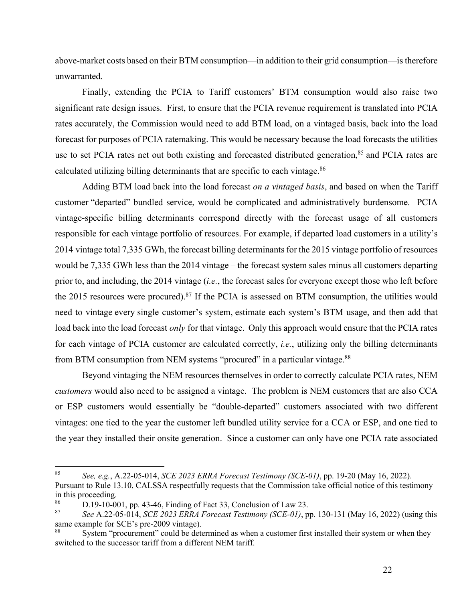above-market costs based on their BTM consumption—in addition to their grid consumption—is therefore unwarranted.

Finally, extending the PCIA to Tariff customers' BTM consumption would also raise two significant rate design issues. First, to ensure that the PCIA revenue requirement is translated into PCIA rates accurately, the Commission would need to add BTM load, on a vintaged basis, back into the load forecast for purposes of PCIA ratemaking. This would be necessary because the load forecasts the utilities use to set PCIA rates net out both existing and forecasted distributed generation,<sup>85</sup> and PCIA rates are calculated utilizing billing determinants that are specific to each vintage.<sup>86</sup>

Adding BTM load back into the load forecast *on a vintaged basis*, and based on when the Tariff customer "departed" bundled service, would be complicated and administratively burdensome. PCIA vintage-specific billing determinants correspond directly with the forecast usage of all customers responsible for each vintage portfolio of resources. For example, if departed load customers in a utility's 2014 vintage total 7,335 GWh, the forecast billing determinants for the 2015 vintage portfolio of resources would be 7,335 GWh less than the 2014 vintage – the forecast system sales minus all customers departing prior to, and including, the 2014 vintage (*i.e.*, the forecast sales for everyone except those who left before the 2015 resources were procured).<sup>87</sup> If the PCIA is assessed on BTM consumption, the utilities would need to vintage every single customer's system, estimate each system's BTM usage, and then add that load back into the load forecast *only* for that vintage. Only this approach would ensure that the PCIA rates for each vintage of PCIA customer are calculated correctly, *i.e.*, utilizing only the billing determinants from BTM consumption from NEM systems "procured" in a particular vintage.<sup>88</sup>

Beyond vintaging the NEM resources themselves in order to correctly calculate PCIA rates, NEM *customers* would also need to be assigned a vintage. The problem is NEM customers that are also CCA or ESP customers would essentially be "double-departed" customers associated with two different vintages: one tied to the year the customer left bundled utility service for a CCA or ESP, and one tied to the year they installed their onsite generation. Since a customer can only have one PCIA rate associated

<sup>85</sup> *See, e.g.*, A.22-05-014, *SCE 2023 ERRA Forecast Testimony (SCE-01)*, pp. 19-20 (May 16, 2022). Pursuant to Rule 13.10, CALSSA respectfully requests that the Commission take official notice of this testimony in this proceeding.

<sup>86</sup> D.19-10-001, pp. 43-46, Finding of Fact 33, Conclusion of Law 23.

<sup>87</sup> *See* A.22-05-014, *SCE 2023 ERRA Forecast Testimony (SCE-01)*, pp. 130-131 (May 16, 2022) (using this same example for SCE's pre-2009 vintage).

<sup>&</sup>lt;sup>88</sup> System "procurement" could be determined as when a customer first installed their system or when they switched to the successor tariff from a different NEM tariff.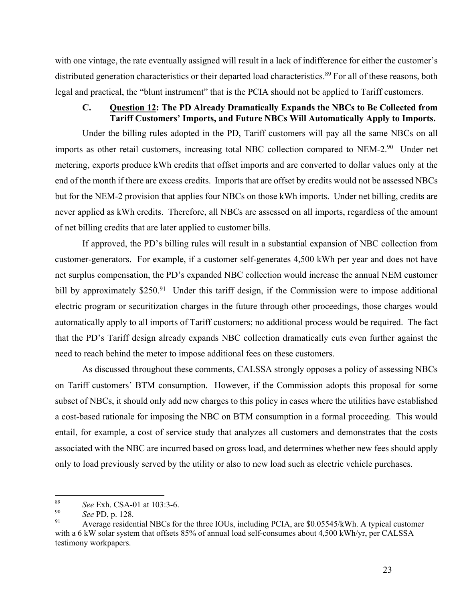with one vintage, the rate eventually assigned will result in a lack of indifference for either the customer's distributed generation characteristics or their departed load characteristics.<sup>89</sup> For all of these reasons, both legal and practical, the "blunt instrument" that is the PCIA should not be applied to Tariff customers.

#### **C. Question 12: The PD Already Dramatically Expands the NBCs to Be Collected from Tariff Customers' Imports, and Future NBCs Will Automatically Apply to Imports.**

Under the billing rules adopted in the PD, Tariff customers will pay all the same NBCs on all imports as other retail customers, increasing total NBC collection compared to NEM-2.90 Under net metering, exports produce kWh credits that offset imports and are converted to dollar values only at the end of the month if there are excess credits. Imports that are offset by credits would not be assessed NBCs but for the NEM-2 provision that applies four NBCs on those kWh imports. Under net billing, credits are never applied as kWh credits. Therefore, all NBCs are assessed on all imports, regardless of the amount of net billing credits that are later applied to customer bills.

If approved, the PD's billing rules will result in a substantial expansion of NBC collection from customer-generators. For example, if a customer self-generates 4,500 kWh per year and does not have net surplus compensation, the PD's expanded NBC collection would increase the annual NEM customer bill by approximately \$250.<sup>91</sup> Under this tariff design, if the Commission were to impose additional electric program or securitization charges in the future through other proceedings, those charges would automatically apply to all imports of Tariff customers; no additional process would be required. The fact that the PD's Tariff design already expands NBC collection dramatically cuts even further against the need to reach behind the meter to impose additional fees on these customers.

As discussed throughout these comments, CALSSA strongly opposes a policy of assessing NBCs on Tariff customers' BTM consumption. However, if the Commission adopts this proposal for some subset of NBCs, it should only add new charges to this policy in cases where the utilities have established a cost-based rationale for imposing the NBC on BTM consumption in a formal proceeding. This would entail, for example, a cost of service study that analyzes all customers and demonstrates that the costs associated with the NBC are incurred based on gross load, and determines whether new fees should apply only to load previously served by the utility or also to new load such as electric vehicle purchases.

<sup>&</sup>lt;sup>89</sup> *See* Exh. CSA-01 at 103:3-6.

<sup>90</sup> *See* PD, p. 128.

Average residential NBCs for the three IOUs, including PCIA, are \$0.05545/kWh. A typical customer with a 6 kW solar system that offsets 85% of annual load self-consumes about 4,500 kWh/yr, per CALSSA testimony workpapers.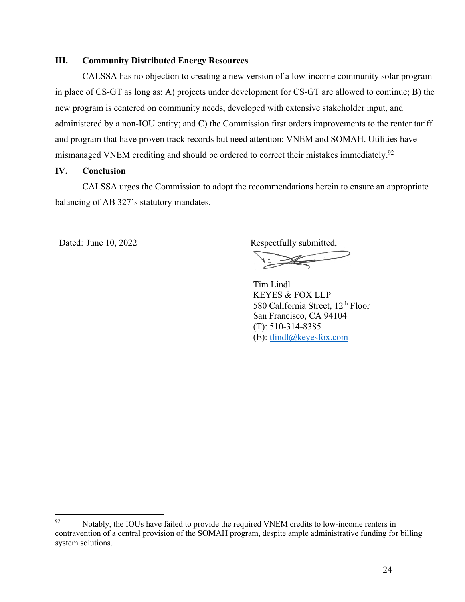## **III. Community Distributed Energy Resources**

CALSSA has no objection to creating a new version of a low-income community solar program in place of CS-GT as long as: A) projects under development for CS-GT are allowed to continue; B) the new program is centered on community needs, developed with extensive stakeholder input, and administered by a non-IOU entity; and C) the Commission first orders improvements to the renter tariff and program that have proven track records but need attention: VNEM and SOMAH. Utilities have mismanaged VNEM crediting and should be ordered to correct their mistakes immediately.<sup>92</sup>

#### **IV. Conclusion**

CALSSA urges the Commission to adopt the recommendations herein to ensure an appropriate balancing of AB 327's statutory mandates.

Dated: June 10, 2022 Respectfully submitted,

Tim Lindl KEYES & FOX LLP 580 California Street, 12<sup>th</sup> Floor San Francisco, CA 94104 (T): 510-314-8385 (E): tlindl@keyesfox.com

 $^{92}$  Notably, the IOUs have failed to provide the required VNEM credits to low-income renters in contravention of a central provision of the SOMAH program, despite ample administrative funding for billing system solutions.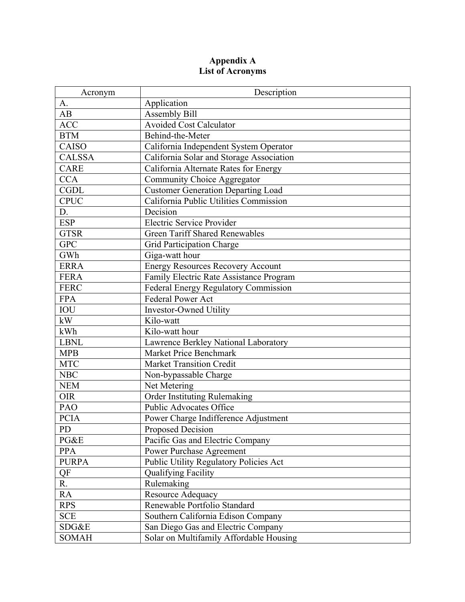### **Appendix A List of Acronyms**

| Acronym       | Description                               |
|---------------|-------------------------------------------|
| A.            | Application                               |
| AB            | <b>Assembly Bill</b>                      |
| <b>ACC</b>    | <b>Avoided Cost Calculator</b>            |
| <b>BTM</b>    | Behind-the-Meter                          |
| <b>CAISO</b>  | California Independent System Operator    |
| <b>CALSSA</b> | California Solar and Storage Association  |
| <b>CARE</b>   | California Alternate Rates for Energy     |
| <b>CCA</b>    | Community Choice Aggregator               |
| <b>CGDL</b>   | <b>Customer Generation Departing Load</b> |
| <b>CPUC</b>   | California Public Utilities Commission    |
| D.            | Decision                                  |
| <b>ESP</b>    | <b>Electric Service Provider</b>          |
| <b>GTSR</b>   | <b>Green Tariff Shared Renewables</b>     |
| <b>GPC</b>    | Grid Participation Charge                 |
| GWh           | Giga-watt hour                            |
| <b>ERRA</b>   | <b>Energy Resources Recovery Account</b>  |
| <b>FERA</b>   | Family Electric Rate Assistance Program   |
| <b>FERC</b>   | Federal Energy Regulatory Commission      |
| <b>FPA</b>    | Federal Power Act                         |
| $\rm IOU$     | <b>Investor-Owned Utility</b>             |
| kW            | Kilo-watt                                 |
| kWh           | Kilo-watt hour                            |
| <b>LBNL</b>   | Lawrence Berkley National Laboratory      |
| <b>MPB</b>    | <b>Market Price Benchmark</b>             |
| <b>MTC</b>    | <b>Market Transition Credit</b>           |
| <b>NBC</b>    | Non-bypassable Charge                     |
| <b>NEM</b>    | Net Metering                              |
| <b>OIR</b>    | Order Instituting Rulemaking              |
| PAO           | Public Advocates Office                   |
| <b>PCIA</b>   | Power Charge Indifference Adjustment      |
| PD            | Proposed Decision                         |
| PG&E          | Pacific Gas and Electric Company          |
| <b>PPA</b>    | Power Purchase Agreement                  |
| <b>PURPA</b>  | Public Utility Regulatory Policies Act    |
| QF            | Qualifying Facility                       |
| R.            | Rulemaking                                |
| RA            | Resource Adequacy                         |
| <b>RPS</b>    | Renewable Portfolio Standard              |
| <b>SCE</b>    | Southern California Edison Company        |
| SDG&E         | San Diego Gas and Electric Company        |
| <b>SOMAH</b>  | Solar on Multifamily Affordable Housing   |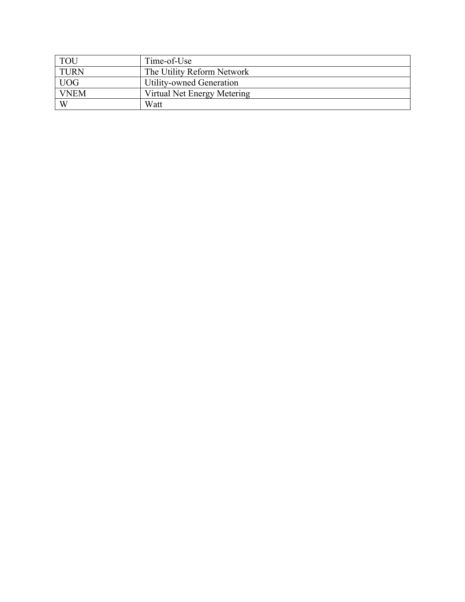| <b>TOU</b>  | Time-of-Use                 |
|-------------|-----------------------------|
| <b>TURN</b> | The Utility Reform Network  |
| <b>UOG</b>  | Utility-owned Generation    |
| <b>VNEM</b> | Virtual Net Energy Metering |
| W           | Watt                        |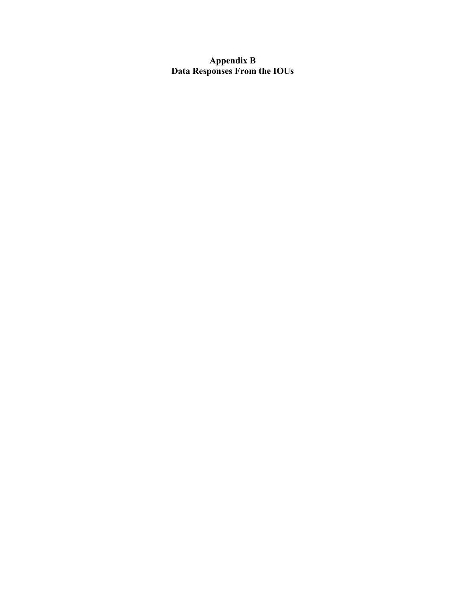## **Appendix B Data Responses From the IOUs**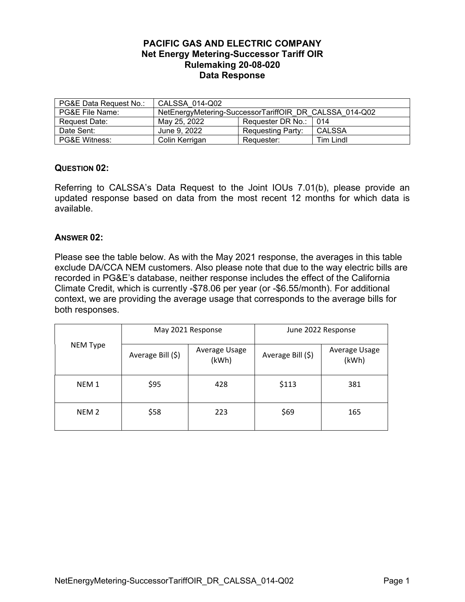## <span id="page-29-2"></span><span id="page-29-1"></span><span id="page-29-0"></span>**PACIFIC GAS AND ELECTRIC COMPANY Net Energy Metering-Successor Tariff OIR Rulemaking 20-08-020 Data Response**

| PG&E Data Request No.:   | CALSSA 014-Q02                                         |                   |                  |  |
|--------------------------|--------------------------------------------------------|-------------------|------------------|--|
| PG&E File Name:          | NetEnergyMetering-SuccessorTariffOIR DR CALSSA 014-Q02 |                   |                  |  |
| Request Date:            | May 25, 2022                                           | Requester DR No.: | 014              |  |
| Date Sent:               | June 9, 2022                                           | Requesting Party: | <b>CALSSA</b>    |  |
| <b>PG&amp;E Witness:</b> | Colin Kerrigan                                         | Requester:        | <b>Tim Lindl</b> |  |

## **QUESTION 02:**

Referring to CALSSA's Data Request to the Joint IOUs 7.01(b), please provide an updated response based on data from the most recent 12 months for which data is available.

## **ANSWER [02:](#page-29-2)**

Please see the table below. As with the May 2021 response, the averages in this table exclude DA/CCA NEM customers. Also please note that due to the way electric bills are recorded in PG&E's database, neither response includes the effect of the California Climate Credit, which is currently -\$78.06 per year (or -\$6.55/month). For additional context, we are providing the average usage that corresponds to the average bills for both responses.

| NEM Type         | May 2021 Response |                        | June 2022 Response |                        |
|------------------|-------------------|------------------------|--------------------|------------------------|
|                  | Average Bill (\$) | Average Usage<br>(kWh) | Average Bill (\$)  | Average Usage<br>(kWh) |
| NEM <sub>1</sub> | \$95              | 428                    | \$113              | 381                    |
| NEM <sub>2</sub> | \$58              | 223                    | \$69               | 165                    |